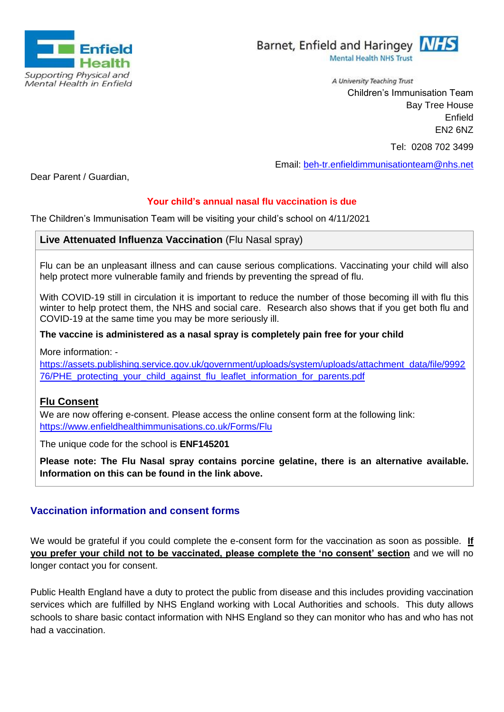



A University Teaching Trust Children's Immunisation Team Bay Tree House Enfield EN2 6NZ

Tel: 0208 702 3499

Email: [beh-tr.enfieldimmunisationteam@nhs.net](mailto:beh-tr.enfieldimmunisationteam@nhs.net)

Dear Parent / Guardian,

# **Your child's annual nasal flu vaccination is due**

The Children's Immunisation Team will be visiting your child's school on 4/11/2021

## **Live Attenuated Influenza Vaccination** (Flu Nasal spray)

Flu can be an unpleasant illness and can cause serious complications. Vaccinating your child will also help protect more vulnerable family and friends by preventing the spread of flu.

With COVID-19 still in circulation it is important to reduce the number of those becoming ill with flu this winter to help protect them, the NHS and social care. Research also shows that if you get both flu and COVID-19 at the same time you may be more seriously ill.

### **The vaccine is administered as a nasal spray is completely pain free for your child**

More information: -

[https://assets.publishing.service.gov.uk/government/uploads/system/uploads/attachment\\_data/file/9992](https://assets.publishing.service.gov.uk/government/uploads/system/uploads/attachment_data/file/999276/PHE_protecting_your_child_against_flu_leaflet_information_for_parents.pdf) [76/PHE\\_protecting\\_your\\_child\\_against\\_flu\\_leaflet\\_information\\_for\\_parents.pdf](https://assets.publishing.service.gov.uk/government/uploads/system/uploads/attachment_data/file/999276/PHE_protecting_your_child_against_flu_leaflet_information_for_parents.pdf)

### **Flu Consent**

We are now offering e-consent. Please access the online consent form at the following link: <https://www.enfieldhealthimmunisations.co.uk/Forms/Flu>

The unique code for the school is **ENF145201**

**Please note: The Flu Nasal spray contains porcine gelatine, there is an alternative available. Information on this can be found in the link above.**

### **Vaccination information and consent forms**

We would be grateful if you could complete the e-consent form for the vaccination as soon as possible. **If you prefer your child not to be vaccinated, please complete the 'no consent' section** and we will no longer contact you for consent.

Public Health England have a duty to protect the public from disease and this includes providing vaccination services which are fulfilled by NHS England working with Local Authorities and schools. This duty allows schools to share basic contact information with NHS England so they can monitor who has and who has not had a vaccination.